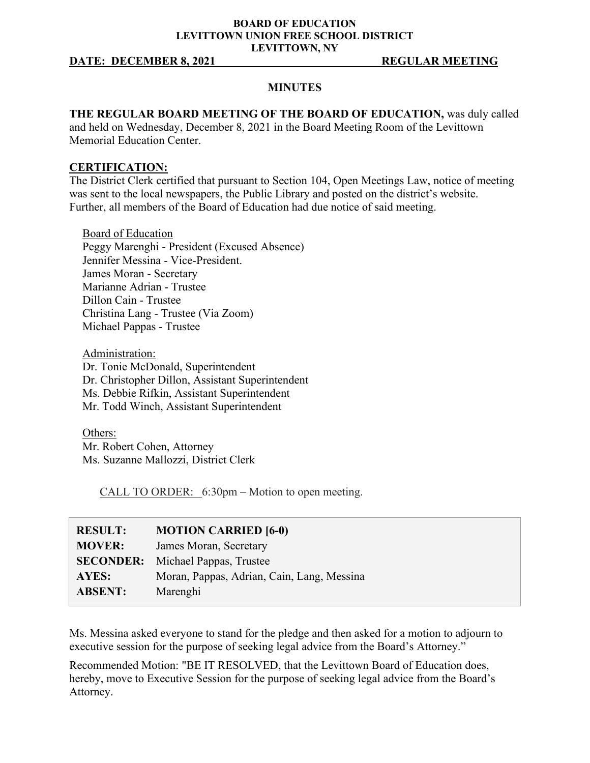### **BOARD OF EDUCATION LEVITTOWN UNION FREE SCHOOL DISTRICT LEVITTOWN, NY**

### **DATE: DECEMBER 8, 2021 REGULAR MEETING**

### **MINUTES**

**THE REGULAR BOARD MEETING OF THE BOARD OF EDUCATION,** was duly called and held on Wednesday, December 8, 2021 in the Board Meeting Room of the Levittown Memorial Education Center.

### **CERTIFICATION:**

The District Clerk certified that pursuant to Section 104, Open Meetings Law, notice of meeting was sent to the local newspapers, the Public Library and posted on the district's website. Further, all members of the Board of Education had due notice of said meeting.

Board of Education Peggy Marenghi - President (Excused Absence) Jennifer Messina - Vice-President. James Moran - Secretary Marianne Adrian - Trustee Dillon Cain - Trustee Christina Lang - Trustee (Via Zoom) Michael Pappas - Trustee

Administration: Dr. Tonie McDonald, Superintendent Dr. Christopher Dillon, Assistant Superintendent Ms. Debbie Rifkin, Assistant Superintendent Mr. Todd Winch, Assistant Superintendent

Others: Mr. Robert Cohen, Attorney Ms. Suzanne Mallozzi, District Clerk

CALL TO ORDER: 6:30pm – Motion to open meeting.

| <b>RESULT:</b> | <b>MOTION CARRIED [6-0)</b>                |
|----------------|--------------------------------------------|
| <b>MOVER:</b>  | James Moran, Secretary                     |
|                | <b>SECONDER:</b> Michael Pappas, Trustee   |
| AYES:          | Moran, Pappas, Adrian, Cain, Lang, Messina |
| <b>ABSENT:</b> | Marenghi                                   |

Ms. Messina asked everyone to stand for the pledge and then asked for a motion to adjourn to executive session for the purpose of seeking legal advice from the Board's Attorney."

Recommended Motion: "BE IT RESOLVED, that the Levittown Board of Education does, hereby, move to Executive Session for the purpose of seeking legal advice from the Board's Attorney.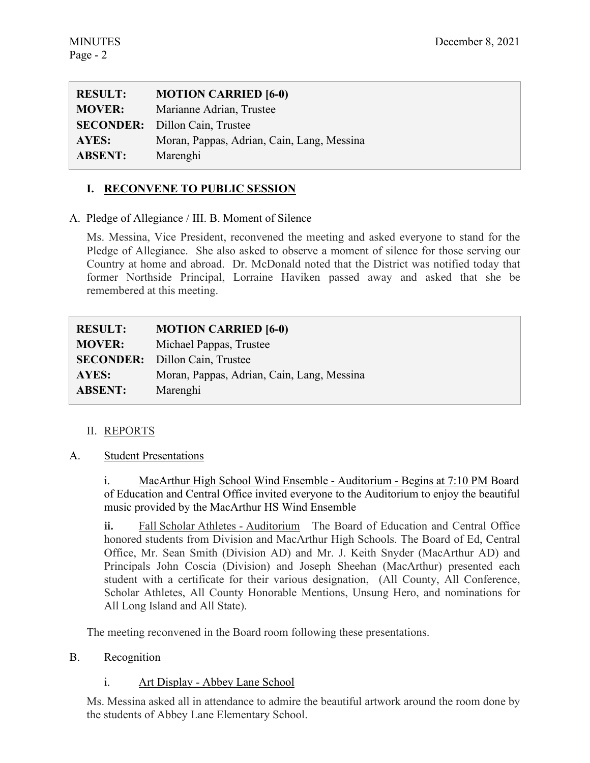| <b>RESULT:</b> | <b>MOTION CARRIED [6-0)</b>                |
|----------------|--------------------------------------------|
| <b>MOVER:</b>  | Marianne Adrian, Trustee                   |
|                | <b>SECONDER:</b> Dillon Cain, Trustee      |
| AYES:          | Moran, Pappas, Adrian, Cain, Lang, Messina |
| <b>ABSENT:</b> | Marenghi                                   |

# **I. RECONVENE TO PUBLIC SESSION**

A. Pledge of Allegiance / III. B. Moment of Silence

Ms. Messina, Vice President, reconvened the meeting and asked everyone to stand for the Pledge of Allegiance. She also asked to observe a moment of silence for those serving our Country at home and abroad. Dr. McDonald noted that the District was notified today that former Northside Principal, Lorraine Haviken passed away and asked that she be remembered at this meeting.

| <b>RESULT:</b> | <b>MOTION CARRIED [6-0)</b>                |
|----------------|--------------------------------------------|
| <b>MOVER:</b>  | Michael Pappas, Trustee                    |
|                | <b>SECONDER:</b> Dillon Cain, Trustee      |
| AYES:          | Moran, Pappas, Adrian, Cain, Lang, Messina |
| <b>ABSENT:</b> | Marenghi                                   |

# II. REPORTS

### A. Student Presentations

i. MacArthur High School Wind Ensemble - Auditorium - Begins at 7:10 PM Board of Education and Central Office invited everyone to the Auditorium to enjoy the beautiful music provided by the MacArthur HS Wind Ensemble

**ii.** Fall Scholar Athletes - Auditorium The Board of Education and Central Office honored students from Division and MacArthur High Schools. The Board of Ed, Central Office, Mr. Sean Smith (Division AD) and Mr. J. Keith Snyder (MacArthur AD) and Principals John Coscia (Division) and Joseph Sheehan (MacArthur) presented each student with a certificate for their various designation, (All County, All Conference, Scholar Athletes, All County Honorable Mentions, Unsung Hero, and nominations for All Long Island and All State).

The meeting reconvened in the Board room following these presentations.

# B. Recognition

# i. Art Display - Abbey Lane School

Ms. Messina asked all in attendance to admire the beautiful artwork around the room done by the students of Abbey Lane Elementary School.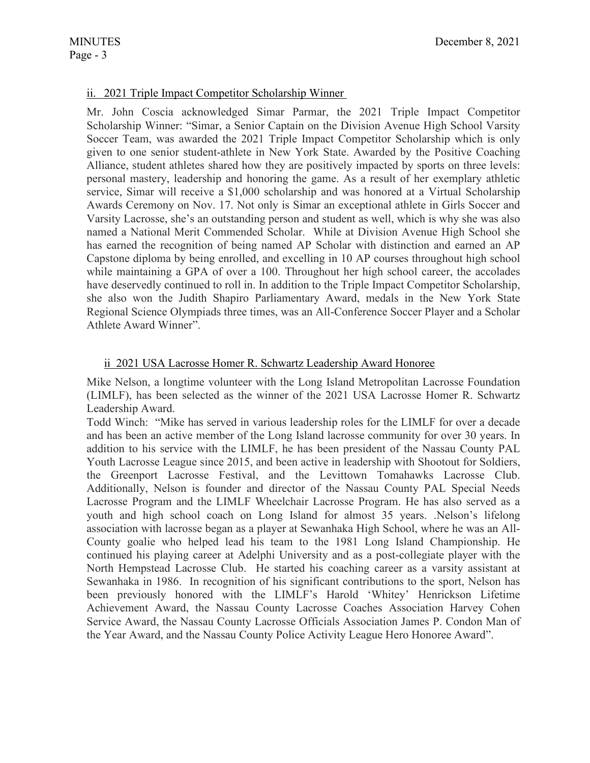# ii. 2021 Triple Impact Competitor Scholarship Winner

Mr. John Coscia acknowledged Simar Parmar, the 2021 Triple Impact Competitor Scholarship Winner: "Simar, a Senior Captain on the Division Avenue High School Varsity Soccer Team, was awarded the 2021 Triple Impact Competitor Scholarship which is only given to one senior student-athlete in New York State. Awarded by the Positive Coaching Alliance, student athletes shared how they are positively impacted by sports on three levels: personal mastery, leadership and honoring the game. As a result of her exemplary athletic service, Simar will receive a \$1,000 scholarship and was honored at a Virtual Scholarship Awards Ceremony on Nov. 17. Not only is Simar an exceptional athlete in Girls Soccer and Varsity Lacrosse, she's an outstanding person and student as well, which is why she was also named a National Merit Commended Scholar. While at Division Avenue High School she has earned the recognition of being named AP Scholar with distinction and earned an AP Capstone diploma by being enrolled, and excelling in 10 AP courses throughout high school while maintaining a GPA of over a 100. Throughout her high school career, the accolades have deservedly continued to roll in. In addition to the Triple Impact Competitor Scholarship, she also won the Judith Shapiro Parliamentary Award, medals in the New York State Regional Science Olympiads three times, was an All-Conference Soccer Player and a Scholar Athlete Award Winner".

# ii 2021 USA Lacrosse Homer R. Schwartz Leadership Award Honoree

Mike Nelson, a longtime volunteer with the Long Island Metropolitan Lacrosse Foundation (LIMLF), has been selected as the winner of the 2021 USA Lacrosse Homer R. Schwartz Leadership Award.

Todd Winch: "Mike has served in various leadership roles for the LIMLF for over a decade and has been an active member of the Long Island lacrosse community for over 30 years. In addition to his service with the LIMLF, he has been president of the Nassau County PAL Youth Lacrosse League since 2015, and been active in leadership with Shootout for Soldiers, the Greenport Lacrosse Festival, and the Levittown Tomahawks Lacrosse Club. Additionally, Nelson is founder and director of the Nassau County PAL Special Needs Lacrosse Program and the LIMLF Wheelchair Lacrosse Program. He has also served as a youth and high school coach on Long Island for almost 35 years. .Nelson's lifelong association with lacrosse began as a player at Sewanhaka High School, where he was an All-County goalie who helped lead his team to the 1981 Long Island Championship. He continued his playing career at Adelphi University and as a post-collegiate player with the North Hempstead Lacrosse Club. He started his coaching career as a varsity assistant at Sewanhaka in 1986. In recognition of his significant contributions to the sport, Nelson has been previously honored with the LIMLF's Harold 'Whitey' Henrickson Lifetime Achievement Award, the Nassau County Lacrosse Coaches Association Harvey Cohen Service Award, the Nassau County Lacrosse Officials Association James P. Condon Man of the Year Award, and the Nassau County Police Activity League Hero Honoree Award".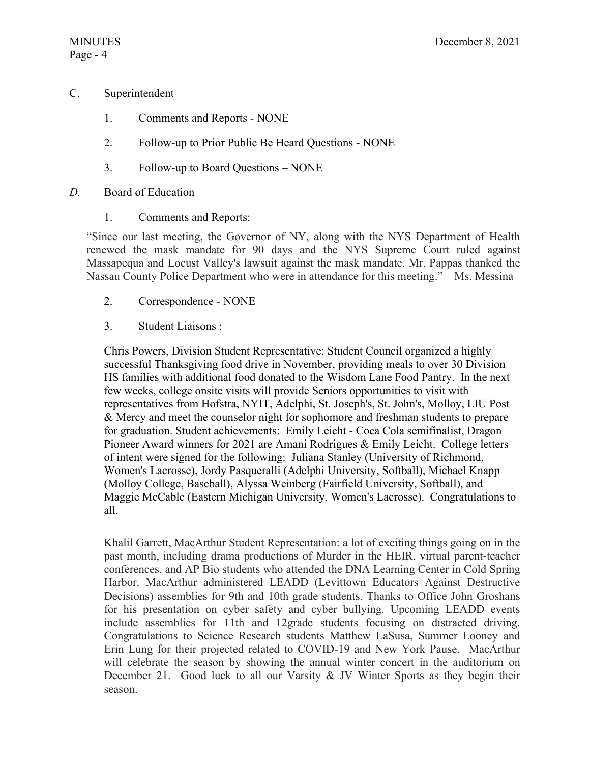# C. Superintendent

- 1. Comments and Reports NONE
- 2. Follow-up to Prior Public Be Heard Questions NONE
- 3. Follow-up to Board Questions NONE

# *D.* Board of Education

1. Comments and Reports:

"Since our last meeting, the Governor of NY, along with the NYS Department of Health renewed the mask mandate for 90 days and the NYS Supreme Court ruled against Massapequa and Locust Valley's lawsuit against the mask mandate. Mr. Pappas thanked the Nassau County Police Department who were in attendance for this meeting." – Ms. Messina

- 2. Correspondence NONE
- 3. Student Liaisons :

Chris Powers, Division Student Representative: Student Council organized a highly successful Thanksgiving food drive in November, providing meals to over 30 Division HS families with additional food donated to the Wisdom Lane Food Pantry. In the next few weeks, college onsite visits will provide Seniors opportunities to visit with representatives from Hofstra, NYIT, Adelphi, St. Joseph's, St. John's, Molloy, LIU Post & Mercy and meet the counselor night for sophomore and freshman students to prepare for graduation. Student achievements: Emily Leicht - Coca Cola semifinalist, Dragon Pioneer Award winners for 2021 are Amani Rodrigues & Emily Leicht. College letters of intent were signed for the following: Juliana Stanley (University of Richmond, Women's Lacrosse), Jordy Pasqueralli (Adelphi University, Softball), Michael Knapp (Molloy College, Baseball), Alyssa Weinberg (Fairfield University, Softball), and Maggie McCable (Eastern Michigan University, Women's Lacrosse). Congratulations to all.

Khalil Garrett, MacArthur Student Representation: a lot of exciting things going on in the past month, including drama productions of Murder in the HEIR, virtual parent-teacher conferences, and AP Bio students who attended the DNA Learning Center in Cold Spring Harbor. MacArthur administered LEADD (Levittown Educators Against Destructive Decisions) assemblies for 9th and 10th grade students. Thanks to Office John Groshans for his presentation on cyber safety and cyber bullying. Upcoming LEADD events include assemblies for 11th and 12grade students focusing on distracted driving. Congratulations to Science Research students Matthew LaSusa, Summer Looney and Erin Lung for their projected related to COVID-19 and New York Pause. MacArthur will celebrate the season by showing the annual winter concert in the auditorium on December 21. Good luck to all our Varsity & JV Winter Sports as they begin their season.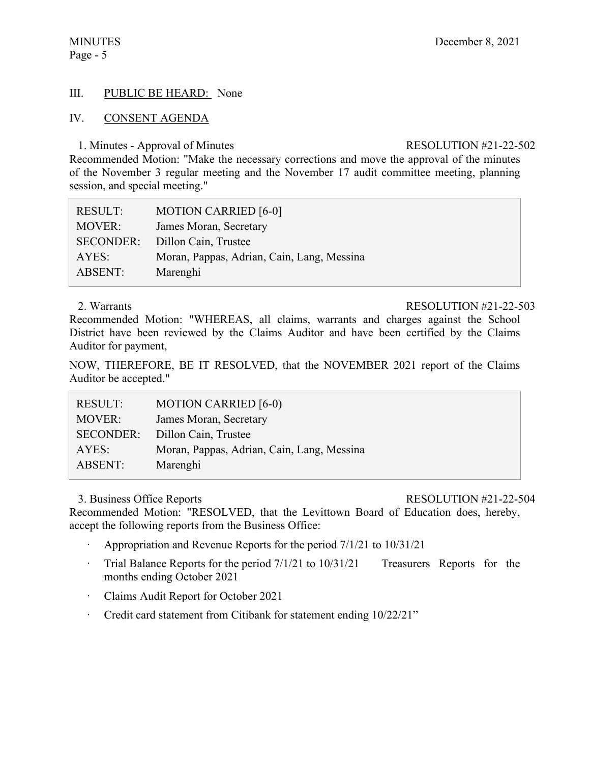# Page - 5

# III. PUBLIC BE HEARD: None

# IV. CONSENT AGENDA

### 1. Minutes - Approval of Minutes RESOLUTION #21-22-502

Recommended Motion: "Make the necessary corrections and move the approval of the minutes of the November 3 regular meeting and the November 17 audit committee meeting, planning session, and special meeting."

| <b>RESULT:</b>   | <b>MOTION CARRIED [6-0]</b>                |
|------------------|--------------------------------------------|
| <b>MOVER:</b>    | James Moran, Secretary                     |
| <b>SECONDER:</b> | Dillon Cain, Trustee                       |
| AYES:            | Moran, Pappas, Adrian, Cain, Lang, Messina |
| <b>ABSENT:</b>   | Marenghi                                   |

### 2. Warrants RESOLUTION #21-22-503

Recommended Motion: "WHEREAS, all claims, warrants and charges against the School District have been reviewed by the Claims Auditor and have been certified by the Claims Auditor for payment,

NOW, THEREFORE, BE IT RESOLVED, that the NOVEMBER 2021 report of the Claims Auditor be accepted."

| <b>RESULT:</b>   | <b>MOTION CARRIED [6-0)</b>                |
|------------------|--------------------------------------------|
| <b>MOVER:</b>    | James Moran, Secretary                     |
| <b>SECONDER:</b> | Dillon Cain, Trustee                       |
| AYES:            | Moran, Pappas, Adrian, Cain, Lang, Messina |
| ABSENT:          | Marenghi                                   |

### 3. Business Office Reports RESOLUTION #21-22-504

Recommended Motion: "RESOLVED, that the Levittown Board of Education does, hereby, accept the following reports from the Business Office:

- · Appropriation and Revenue Reports for the period 7/1/21 to 10/31/21
- Trial Balance Reports for the period  $7/1/21$  to  $10/31/21$  Treasurers Reports for the months ending October 2021
- · Claims Audit Report for October 2021
- · Credit card statement from Citibank for statement ending 10/22/21"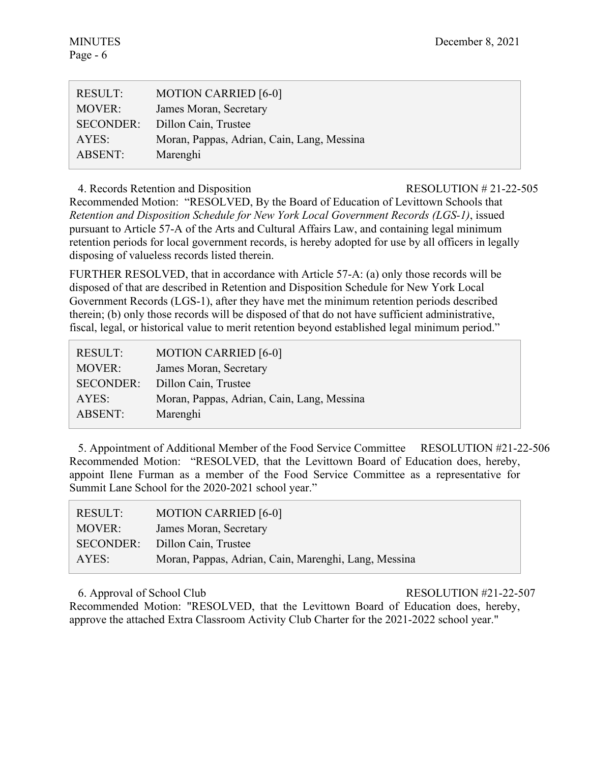| <b>RESULT:</b>   | <b>MOTION CARRIED [6-0]</b>                |
|------------------|--------------------------------------------|
| <b>MOVER:</b>    | James Moran, Secretary                     |
| <b>SECONDER:</b> | Dillon Cain, Trustee                       |
| AYES:            | Moran, Pappas, Adrian, Cain, Lang, Messina |
| ABSENT:          | Marenghi                                   |

4. Records Retention and Disposition RESOLUTION # 21-22-505

Recommended Motion: "RESOLVED, By the Board of Education of Levittown Schools that *Retention and Disposition Schedule for New York Local Government Records (LGS-1)*, issued pursuant to Article 57-A of the Arts and Cultural Affairs Law, and containing legal minimum retention periods for local government records, is hereby adopted for use by all officers in legally disposing of valueless records listed therein.

FURTHER RESOLVED, that in accordance with Article 57-A: (a) only those records will be disposed of that are described in Retention and Disposition Schedule for New York Local Government Records (LGS-1), after they have met the minimum retention periods described therein; (b) only those records will be disposed of that do not have sufficient administrative, fiscal, legal, or historical value to merit retention beyond established legal minimum period."

| <b>MOTION CARRIED [6-0]</b>                |
|--------------------------------------------|
| James Moran, Secretary                     |
| Dillon Cain, Trustee                       |
| Moran, Pappas, Adrian, Cain, Lang, Messina |
| Marenghi                                   |
|                                            |

5. Appointment of Additional Member of the Food Service Committee RESOLUTION #21-22-506 Recommended Motion: "RESOLVED, that the Levittown Board of Education does, hereby, appoint Ilene Furman as a member of the Food Service Committee as a representative for Summit Lane School for the 2020-2021 school year."

| RESULT:       | <b>MOTION CARRIED [6-0]</b>                          |
|---------------|------------------------------------------------------|
| <b>MOVER:</b> | James Moran, Secretary                               |
|               | SECONDER: Dillon Cain, Trustee                       |
| AYES:         | Moran, Pappas, Adrian, Cain, Marenghi, Lang, Messina |

# 6. Approval of School Club RESOLUTION #21-22-507

Recommended Motion: "RESOLVED, that the Levittown Board of Education does, hereby, approve the attached Extra Classroom Activity Club Charter for the 2021-2022 school year."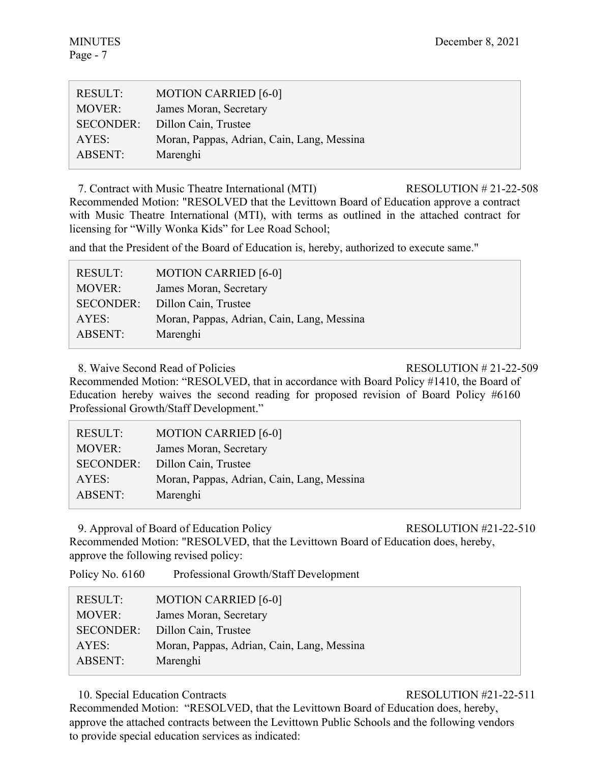| <b>RESULT:</b>   | <b>MOTION CARRIED [6-0]</b>                |
|------------------|--------------------------------------------|
| <b>MOVER:</b>    | James Moran, Secretary                     |
| <b>SECONDER:</b> | Dillon Cain, Trustee                       |
| AYES:            | Moran, Pappas, Adrian, Cain, Lang, Messina |
| ABSENT:          | Marenghi                                   |

7. Contract with Music Theatre International (MTI) RESOLUTION # 21-22-508 Recommended Motion: "RESOLVED that the Levittown Board of Education approve a contract with Music Theatre International (MTI), with terms as outlined in the attached contract for licensing for "Willy Wonka Kids" for Lee Road School;

and that the President of the Board of Education is, hereby, authorized to execute same."

| <b>MOTION CARRIED [6-0]</b>                |
|--------------------------------------------|
| James Moran, Secretary                     |
| Dillon Cain, Trustee                       |
| Moran, Pappas, Adrian, Cain, Lang, Messina |
| Marenghi                                   |
|                                            |

8. Waive Second Read of Policies RESOLUTION # 21-22-509

Recommended Motion: "RESOLVED, that in accordance with Board Policy #1410, the Board of Education hereby waives the second reading for proposed revision of Board Policy #6160 Professional Growth/Staff Development."

| <b>RESULT:</b>   | <b>MOTION CARRIED [6-0]</b>                |
|------------------|--------------------------------------------|
| <b>MOVER:</b>    | James Moran, Secretary                     |
| <b>SECONDER:</b> | Dillon Cain, Trustee                       |
| AYES:            | Moran, Pappas, Adrian, Cain, Lang, Messina |
| ABSENT:          | Marenghi                                   |

9. Approval of Board of Education Policy RESOLUTION #21-22-510

Recommended Motion: "RESOLVED, that the Levittown Board of Education does, hereby, approve the following revised policy:

Policy No. 6160 Professional Growth/Staff Development

| <b>RESULT:</b>   | <b>MOTION CARRIED [6-0]</b>                |
|------------------|--------------------------------------------|
| <b>MOVER:</b>    | James Moran, Secretary                     |
| <b>SECONDER:</b> | Dillon Cain, Trustee                       |
| AYES:            | Moran, Pappas, Adrian, Cain, Lang, Messina |
| <b>ABSENT:</b>   | Marenghi                                   |

10. Special Education Contracts RESOLUTION #21-22-511

Recommended Motion: "RESOLVED, that the Levittown Board of Education does, hereby, approve the attached contracts between the Levittown Public Schools and the following vendors to provide special education services as indicated: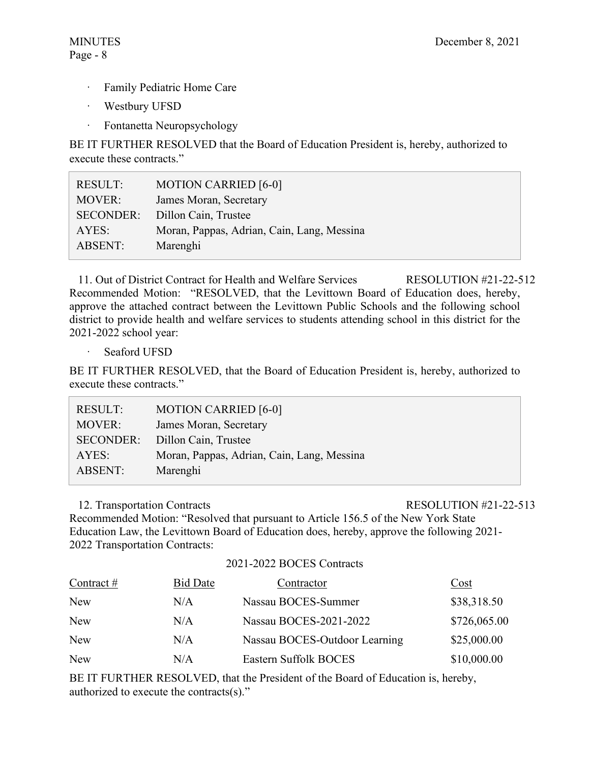- · Family Pediatric Home Care
- · Westbury UFSD
- · Fontanetta Neuropsychology

BE IT FURTHER RESOLVED that the Board of Education President is, hereby, authorized to execute these contracts."

| RESULT:          | <b>MOTION CARRIED [6-0]</b>                |
|------------------|--------------------------------------------|
| <b>MOVER:</b>    | James Moran, Secretary                     |
| <b>SECONDER:</b> | Dillon Cain, Trustee                       |
| AYES:            | Moran, Pappas, Adrian, Cain, Lang, Messina |
| ABSENT:          | Marenghi                                   |
|                  |                                            |

11. Out of District Contract for Health and Welfare Services RESOLUTION #21-22-512 Recommended Motion: "RESOLVED, that the Levittown Board of Education does, hereby, approve the attached contract between the Levittown Public Schools and the following school district to provide health and welfare services to students attending school in this district for the 2021-2022 school year:

· Seaford UFSD

BE IT FURTHER RESOLVED, that the Board of Education President is, hereby, authorized to execute these contracts."

| <b>RESULT:</b>   | <b>MOTION CARRIED [6-0]</b>                |
|------------------|--------------------------------------------|
| <b>MOVER:</b>    | James Moran, Secretary                     |
| <b>SECONDER:</b> | Dillon Cain, Trustee                       |
| AYES:            | Moran, Pappas, Adrian, Cain, Lang, Messina |
| <b>ABSENT:</b>   | Marenghi                                   |

# 12. Transportation Contracts RESOLUTION #21-22-513

Recommended Motion: "Resolved that pursuant to Article 156.5 of the New York State Education Law, the Levittown Board of Education does, hereby, approve the following 2021- 2022 Transportation Contracts:

2021-2022 BOCES Contracts

| Contract $#$ | <b>Bid Date</b> | Contractor                    | Cost         |
|--------------|-----------------|-------------------------------|--------------|
| <b>New</b>   | N/A             | Nassau BOCES-Summer           | \$38,318.50  |
| <b>New</b>   | N/A             | Nassau BOCES-2021-2022        | \$726,065.00 |
| <b>New</b>   | N/A             | Nassau BOCES-Outdoor Learning | \$25,000.00  |
| <b>New</b>   | N/A             | Eastern Suffolk BOCES         | \$10,000.00  |

BE IT FURTHER RESOLVED, that the President of the Board of Education is, hereby, authorized to execute the contracts(s)."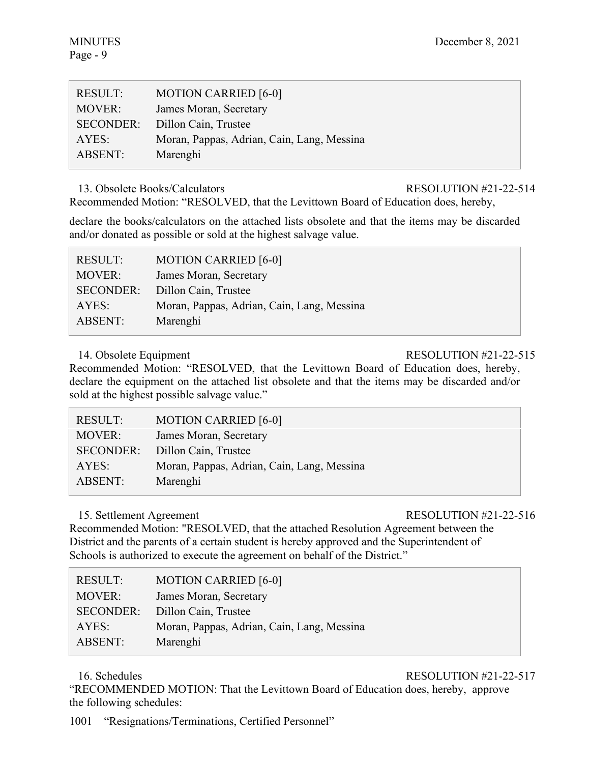| <b>RESULT:</b>   | <b>MOTION CARRIED [6-0]</b>                |
|------------------|--------------------------------------------|
| <b>MOVER:</b>    | James Moran, Secretary                     |
| <b>SECONDER:</b> | Dillon Cain, Trustee                       |
| AYES:            | Moran, Pappas, Adrian, Cain, Lang, Messina |
| ABSENT:          | Marenghi                                   |

13. Obsolete Books/Calculators RESOLUTION #21-22-514

Recommended Motion: "RESOLVED, that the Levittown Board of Education does, hereby,

declare the books/calculators on the attached lists obsolete and that the items may be discarded and/or donated as possible or sold at the highest salvage value.

| <b>RESULT:</b>   | <b>MOTION CARRIED [6-0]</b>                |
|------------------|--------------------------------------------|
| <b>MOVER:</b>    | James Moran, Secretary                     |
| <b>SECONDER:</b> | Dillon Cain, Trustee                       |
| AYES:            | Moran, Pappas, Adrian, Cain, Lang, Messina |
| <b>ABSENT:</b>   | Marenghi                                   |

# 14. Obsolete Equipment RESOLUTION #21-22-515

Recommended Motion: "RESOLVED, that the Levittown Board of Education does, hereby, declare the equipment on the attached list obsolete and that the items may be discarded and/or sold at the highest possible salvage value."

| <b>RESULT:</b>   | <b>MOTION CARRIED [6-0]</b>                |
|------------------|--------------------------------------------|
| <b>MOVER:</b>    | James Moran, Secretary                     |
| <b>SECONDER:</b> | Dillon Cain, Trustee                       |
| AYES:            | Moran, Pappas, Adrian, Cain, Lang, Messina |
| <b>ABSENT:</b>   | Marenghi                                   |

# 15. Settlement Agreement RESOLUTION #21-22-516

Recommended Motion: "RESOLVED, that the attached Resolution Agreement between the District and the parents of a certain student is hereby approved and the Superintendent of Schools is authorized to execute the agreement on behalf of the District."

| <b>RESULT:</b>   | <b>MOTION CARRIED [6-0]</b>                |
|------------------|--------------------------------------------|
| <b>MOVER:</b>    | James Moran, Secretary                     |
| <b>SECONDER:</b> | Dillon Cain, Trustee                       |
| AYES:            | Moran, Pappas, Adrian, Cain, Lang, Messina |
| ABSENT:          | Marenghi                                   |

# 16. Schedules RESOLUTION #21-22-517

"RECOMMENDED MOTION: That the Levittown Board of Education does, hereby, approve the following schedules:

1001 "Resignations/Terminations, Certified Personnel"